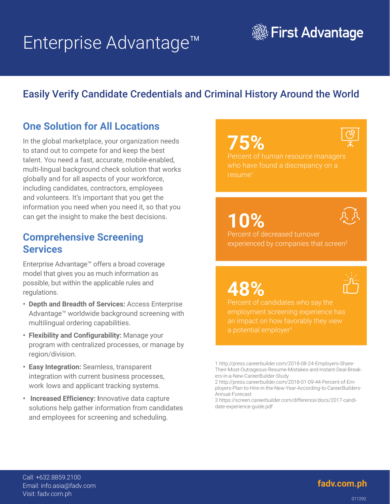# Enterprise Advantage™



## Easily Verify Candidate Credentials and Criminal History Around the World

## **One Solution for All Locations**

In the global marketplace, your organization needs to stand out to compete for and keep the best talent. You need a fast, accurate, mobile-enabled, multi-lingual background check solution that works globally and for all aspects of your workforce, including candidates, contractors, employees and volunteers. It's important that you get the information you need when you need it, so that you can get the insight to make the best decisions.

### **Comprehensive Screening Services**

Enterprise Advantage™ offers a broad coverage model that gives you as much information as possible, but within the applicable rules and regulations.

- **• Depth and Breadth of Services:** Access Enterprise Advantage™ worldwide background screening with multilingual ordering capabilities.
- **• Flexibility and Configurability:** Manage your program with centralized processes, or manage by region/division.
- **• Easy Integration:** Seamless, transparent integration with current business processes, work lows and applicant tracking systems.
- **• Increased Efficiency: I**nnovative data capture solutions help gather information from candidates and employees for screening and scheduling.

## **75%**



Percent of human resource managers who have found a discrepancy on a resume1

**10%** 



Percent of decreased turnover experienced by companies that screen<sup>2</sup>

**48%** 



employment screening experience has an impact on how favorably they view



<sup>1</sup> http://press.careerbuilder.com/2018-08-24-Employers-Share-Their-Most-Outrageous-Resume-Mistakes-and-Instant-Deal-Breakers-in-a-New-CareerBuilder-Study

<sup>2</sup> http://press.careerbuilder.com/2018-01-09-44-Percent-of-Employers-Plan-to-Hire-in-the-New-Year-According-to-CareerBuilders-Annual-Forecast

<sup>3</sup> https://screen.careerbuilder.com/difference/docs/2017-candidate-experience-guide.pdf